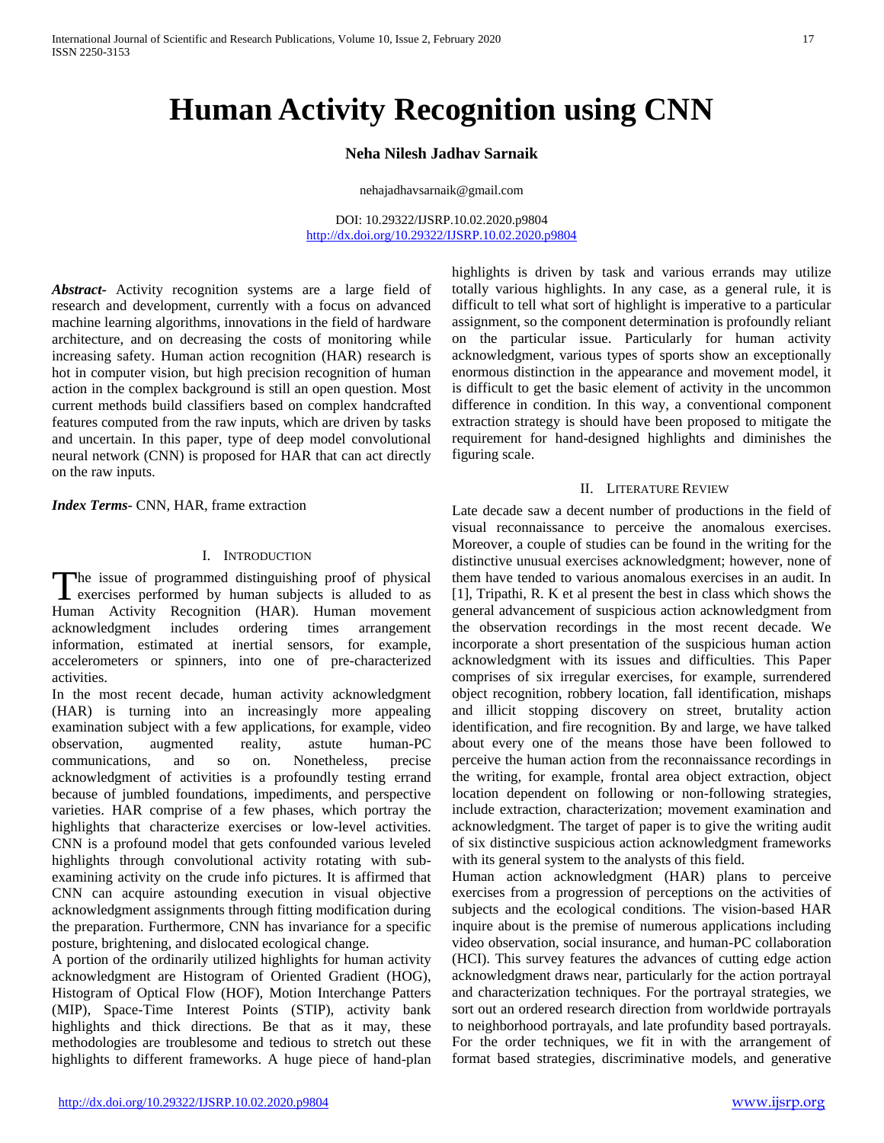# **Human Activity Recognition using CNN**

## **Neha Nilesh Jadhav Sarnaik**

nehajadhavsarnaik@gmail.com

DOI: 10.29322/IJSRP.10.02.2020.p9804 <http://dx.doi.org/10.29322/IJSRP.10.02.2020.p9804>

*Abstract***-** Activity recognition systems are a large field of research and development, currently with a focus on advanced machine learning algorithms, innovations in the field of hardware architecture, and on decreasing the costs of monitoring while increasing safety. Human action recognition (HAR) research is hot in computer vision, but high precision recognition of human action in the complex background is still an open question. Most current methods build classifiers based on complex handcrafted features computed from the raw inputs, which are driven by tasks and uncertain. In this paper, type of deep model convolutional neural network (CNN) is proposed for HAR that can act directly on the raw inputs.

*Index Terms*- CNN, HAR, frame extraction

#### I. INTRODUCTION

he issue of programmed distinguishing proof of physical exercises performed by human subjects is alluded to as The issue of programmed distinguishing proof of physical exercises performed by human subjects is alluded to as Human Activity Recognition (HAR). Human movement acknowledgment includes ordering times arrangement information, estimated at inertial sensors, for example, accelerometers or spinners, into one of pre-characterized activities.

In the most recent decade, human activity acknowledgment (HAR) is turning into an increasingly more appealing examination subject with a few applications, for example, video observation, augmented reality, astute human-PC communications, and so on. Nonetheless, precise acknowledgment of activities is a profoundly testing errand because of jumbled foundations, impediments, and perspective varieties. HAR comprise of a few phases, which portray the highlights that characterize exercises or low-level activities. CNN is a profound model that gets confounded various leveled highlights through convolutional activity rotating with subexamining activity on the crude info pictures. It is affirmed that CNN can acquire astounding execution in visual objective acknowledgment assignments through fitting modification during the preparation. Furthermore, CNN has invariance for a specific posture, brightening, and dislocated ecological change.

A portion of the ordinarily utilized highlights for human activity acknowledgment are Histogram of Oriented Gradient (HOG), Histogram of Optical Flow (HOF), Motion Interchange Patters (MIP), Space-Time Interest Points (STIP), activity bank highlights and thick directions. Be that as it may, these methodologies are troublesome and tedious to stretch out these highlights to different frameworks. A huge piece of hand-plan

highlights is driven by task and various errands may utilize totally various highlights. In any case, as a general rule, it is difficult to tell what sort of highlight is imperative to a particular assignment, so the component determination is profoundly reliant on the particular issue. Particularly for human activity acknowledgment, various types of sports show an exceptionally enormous distinction in the appearance and movement model, it is difficult to get the basic element of activity in the uncommon difference in condition. In this way, a conventional component extraction strategy is should have been proposed to mitigate the requirement for hand-designed highlights and diminishes the figuring scale.

### II. LITERATURE REVIEW

Late decade saw a decent number of productions in the field of visual reconnaissance to perceive the anomalous exercises. Moreover, a couple of studies can be found in the writing for the distinctive unusual exercises acknowledgment; however, none of them have tended to various anomalous exercises in an audit. In [1], Tripathi, R. K et al present the best in class which shows the general advancement of suspicious action acknowledgment from the observation recordings in the most recent decade. We incorporate a short presentation of the suspicious human action acknowledgment with its issues and difficulties. This Paper comprises of six irregular exercises, for example, surrendered object recognition, robbery location, fall identification, mishaps and illicit stopping discovery on street, brutality action identification, and fire recognition. By and large, we have talked about every one of the means those have been followed to perceive the human action from the reconnaissance recordings in the writing, for example, frontal area object extraction, object location dependent on following or non-following strategies, include extraction, characterization; movement examination and acknowledgment. The target of paper is to give the writing audit of six distinctive suspicious action acknowledgment frameworks with its general system to the analysts of this field.

Human action acknowledgment (HAR) plans to perceive exercises from a progression of perceptions on the activities of subjects and the ecological conditions. The vision-based HAR inquire about is the premise of numerous applications including video observation, social insurance, and human-PC collaboration (HCI). This survey features the advances of cutting edge action acknowledgment draws near, particularly for the action portrayal and characterization techniques. For the portrayal strategies, we sort out an ordered research direction from worldwide portrayals to neighborhood portrayals, and late profundity based portrayals. For the order techniques, we fit in with the arrangement of format based strategies, discriminative models, and generative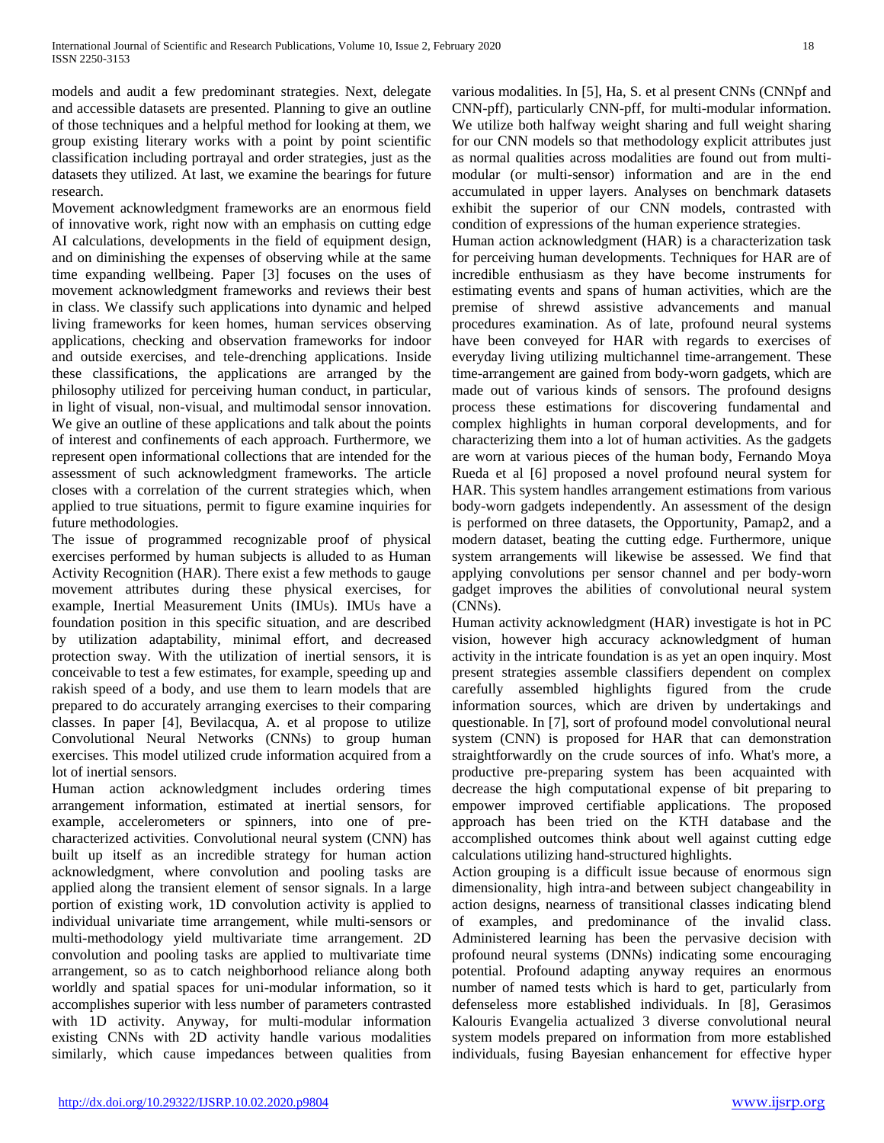models and audit a few predominant strategies. Next, delegate and accessible datasets are presented. Planning to give an outline of those techniques and a helpful method for looking at them, we group existing literary works with a point by point scientific classification including portrayal and order strategies, just as the datasets they utilized. At last, we examine the bearings for future research.

Movement acknowledgment frameworks are an enormous field of innovative work, right now with an emphasis on cutting edge AI calculations, developments in the field of equipment design, and on diminishing the expenses of observing while at the same time expanding wellbeing. Paper [3] focuses on the uses of movement acknowledgment frameworks and reviews their best in class. We classify such applications into dynamic and helped living frameworks for keen homes, human services observing applications, checking and observation frameworks for indoor and outside exercises, and tele-drenching applications. Inside these classifications, the applications are arranged by the philosophy utilized for perceiving human conduct, in particular, in light of visual, non-visual, and multimodal sensor innovation. We give an outline of these applications and talk about the points of interest and confinements of each approach. Furthermore, we represent open informational collections that are intended for the assessment of such acknowledgment frameworks. The article closes with a correlation of the current strategies which, when applied to true situations, permit to figure examine inquiries for future methodologies.

The issue of programmed recognizable proof of physical exercises performed by human subjects is alluded to as Human Activity Recognition (HAR). There exist a few methods to gauge movement attributes during these physical exercises, for example, Inertial Measurement Units (IMUs). IMUs have a foundation position in this specific situation, and are described by utilization adaptability, minimal effort, and decreased protection sway. With the utilization of inertial sensors, it is conceivable to test a few estimates, for example, speeding up and rakish speed of a body, and use them to learn models that are prepared to do accurately arranging exercises to their comparing classes. In paper [4], Bevilacqua, A. et al propose to utilize Convolutional Neural Networks (CNNs) to group human exercises. This model utilized crude information acquired from a lot of inertial sensors.

Human action acknowledgment includes ordering times arrangement information, estimated at inertial sensors, for example, accelerometers or spinners, into one of precharacterized activities. Convolutional neural system (CNN) has built up itself as an incredible strategy for human action acknowledgment, where convolution and pooling tasks are applied along the transient element of sensor signals. In a large portion of existing work, 1D convolution activity is applied to individual univariate time arrangement, while multi-sensors or multi-methodology yield multivariate time arrangement. 2D convolution and pooling tasks are applied to multivariate time arrangement, so as to catch neighborhood reliance along both worldly and spatial spaces for uni-modular information, so it accomplishes superior with less number of parameters contrasted with 1D activity. Anyway, for multi-modular information existing CNNs with 2D activity handle various modalities similarly, which cause impedances between qualities from various modalities. In [5], Ha, S. et al present CNNs (CNNpf and CNN-pff), particularly CNN-pff, for multi-modular information. We utilize both halfway weight sharing and full weight sharing for our CNN models so that methodology explicit attributes just as normal qualities across modalities are found out from multimodular (or multi-sensor) information and are in the end accumulated in upper layers. Analyses on benchmark datasets exhibit the superior of our CNN models, contrasted with condition of expressions of the human experience strategies.

Human action acknowledgment (HAR) is a characterization task for perceiving human developments. Techniques for HAR are of incredible enthusiasm as they have become instruments for estimating events and spans of human activities, which are the premise of shrewd assistive advancements and manual procedures examination. As of late, profound neural systems have been conveyed for HAR with regards to exercises of everyday living utilizing multichannel time-arrangement. These time-arrangement are gained from body-worn gadgets, which are made out of various kinds of sensors. The profound designs process these estimations for discovering fundamental and complex highlights in human corporal developments, and for characterizing them into a lot of human activities. As the gadgets are worn at various pieces of the human body, Fernando Moya Rueda et al [6] proposed a novel profound neural system for HAR. This system handles arrangement estimations from various body-worn gadgets independently. An assessment of the design is performed on three datasets, the Opportunity, Pamap2, and a modern dataset, beating the cutting edge. Furthermore, unique system arrangements will likewise be assessed. We find that applying convolutions per sensor channel and per body-worn gadget improves the abilities of convolutional neural system (CNNs).

Human activity acknowledgment (HAR) investigate is hot in PC vision, however high accuracy acknowledgment of human activity in the intricate foundation is as yet an open inquiry. Most present strategies assemble classifiers dependent on complex carefully assembled highlights figured from the crude information sources, which are driven by undertakings and questionable. In [7], sort of profound model convolutional neural system (CNN) is proposed for HAR that can demonstration straightforwardly on the crude sources of info. What's more, a productive pre-preparing system has been acquainted with decrease the high computational expense of bit preparing to empower improved certifiable applications. The proposed approach has been tried on the KTH database and the accomplished outcomes think about well against cutting edge calculations utilizing hand-structured highlights.

Action grouping is a difficult issue because of enormous sign dimensionality, high intra-and between subject changeability in action designs, nearness of transitional classes indicating blend of examples, and predominance of the invalid class. Administered learning has been the pervasive decision with profound neural systems (DNNs) indicating some encouraging potential. Profound adapting anyway requires an enormous number of named tests which is hard to get, particularly from defenseless more established individuals. In [8], Gerasimos Kalouris Evangelia actualized 3 diverse convolutional neural system models prepared on information from more established individuals, fusing Bayesian enhancement for effective hyper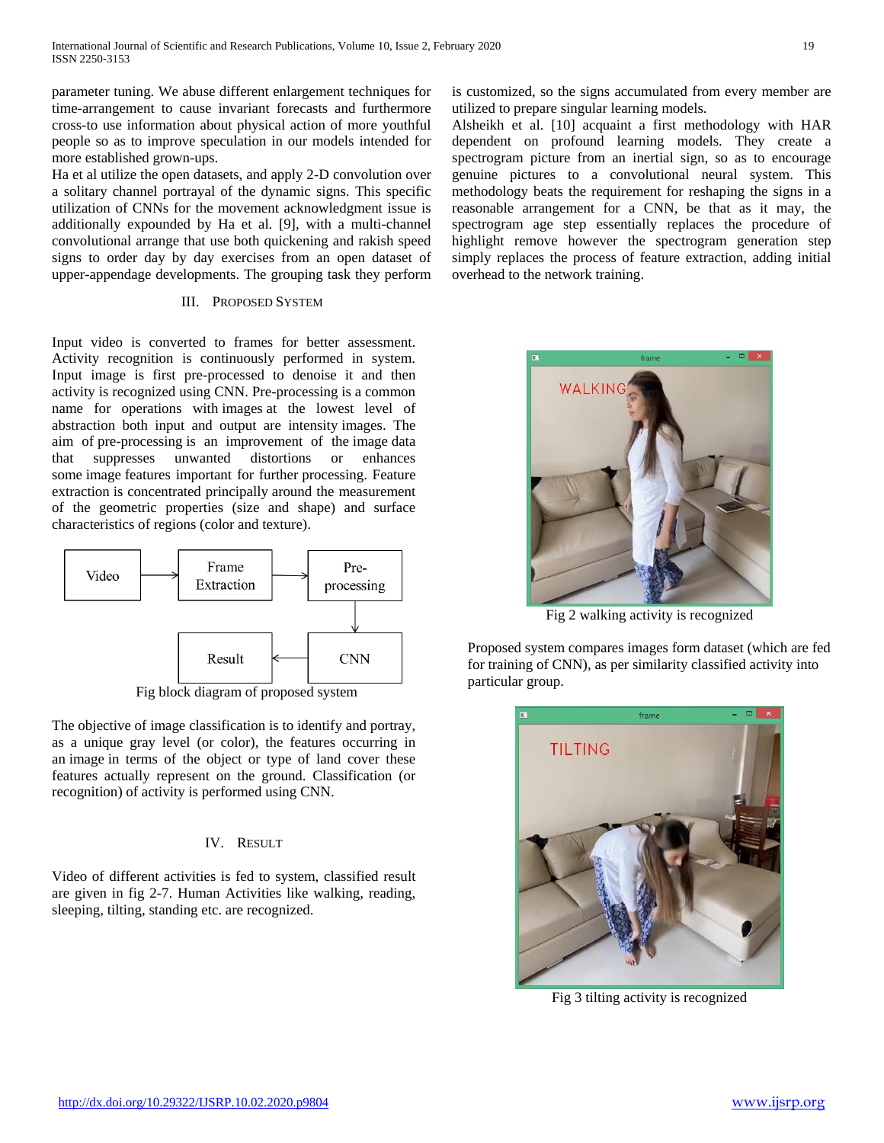parameter tuning. We abuse different enlargement techniques for time-arrangement to cause invariant forecasts and furthermore cross-to use information about physical action of more youthful people so as to improve speculation in our models intended for more established grown-ups.

Ha et al utilize the open datasets, and apply 2-D convolution over a solitary channel portrayal of the dynamic signs. This specific utilization of CNNs for the movement acknowledgment issue is additionally expounded by Ha et al. [9], with a multi-channel convolutional arrange that use both quickening and rakish speed signs to order day by day exercises from an open dataset of upper-appendage developments. The grouping task they perform

### III. PROPOSED SYSTEM

Input video is converted to frames for better assessment. Activity recognition is continuously performed in system. Input image is first pre-processed to denoise it and then activity is recognized using CNN. Pre-processing is a common name for operations with images at the lowest level of abstraction both input and output are intensity images. The aim of pre-processing is an improvement of the image data that suppresses unwanted distortions or enhances some image features important for further processing. Feature extraction is concentrated principally around the measurement of the geometric properties (size and shape) and surface characteristics of regions (color and texture).



Fig block diagram of proposed system

The objective of image classification is to identify and portray, as a unique gray level (or color), the features occurring in an image in terms of the object or type of land cover these features actually represent on the ground. Classification (or recognition) of activity is performed using CNN.

# IV. RESULT

Video of different activities is fed to system, classified result are given in fig 2-7. Human Activities like walking, reading, sleeping, tilting, standing etc. are recognized.

is customized, so the signs accumulated from every member are utilized to prepare singular learning models.

Alsheikh et al. [10] acquaint a first methodology with HAR dependent on profound learning models. They create a spectrogram picture from an inertial sign, so as to encourage genuine pictures to a convolutional neural system. This methodology beats the requirement for reshaping the signs in a reasonable arrangement for a CNN, be that as it may, the spectrogram age step essentially replaces the procedure of highlight remove however the spectrogram generation step simply replaces the process of feature extraction, adding initial overhead to the network training.



Fig 2 walking activity is recognized

Proposed system compares images form dataset (which are fed for training of CNN), as per similarity classified activity into particular group.



Fig 3 tilting activity is recognized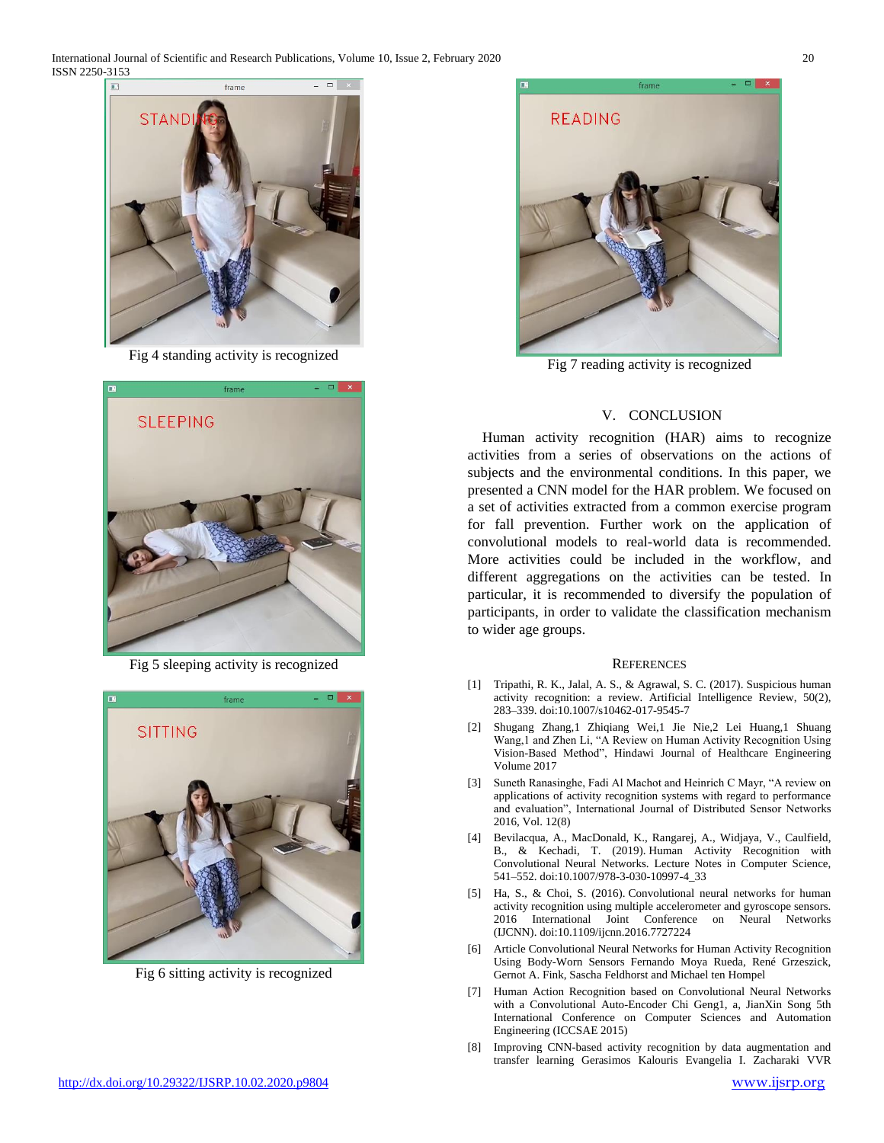International Journal of Scientific and Research Publications, Volume 10, Issue 2, February 2020 20 ISSN 2250-3153



Fig 4 standing activity is recognized



Fig 5 sleeping activity is recognized



Fig 6 sitting activity is recognized



Fig 7 reading activity is recognized

### V. CONCLUSION

Human activity recognition (HAR) aims to recognize activities from a series of observations on the actions of subjects and the environmental conditions. In this paper, we presented a CNN model for the HAR problem. We focused on a set of activities extracted from a common exercise program for fall prevention. Further work on the application of convolutional models to real-world data is recommended. More activities could be included in the workflow, and different aggregations on the activities can be tested. In particular, it is recommended to diversify the population of participants, in order to validate the classification mechanism to wider age groups.

#### **REFERENCES**

- [1] Tripathi, R. K., Jalal, A. S., & Agrawal, S. C. (2017). Suspicious human activity recognition: a review. Artificial Intelligence Review, 50(2), 283–339. doi:10.1007/s10462-017-9545-7
- [2] Shugang Zhang,1 Zhiqiang Wei,1 Jie Nie,2 Lei Huang,1 Shuang Wang,1 and Zhen Li, "A Review on Human Activity Recognition Using Vision-Based Method", Hindawi Journal of Healthcare Engineering Volume 2017
- [3] Suneth Ranasinghe, Fadi Al Machot and Heinrich C Mayr, "A review on applications of activity recognition systems with regard to performance and evaluation", International Journal of Distributed Sensor Networks 2016, Vol. 12(8)
- [4] Bevilacqua, A., MacDonald, K., Rangarej, A., Widjaya, V., Caulfield, B., & Kechadi, T. (2019). Human Activity Recognition with Convolutional Neural Networks. Lecture Notes in Computer Science, 541–552. doi:10.1007/978-3-030-10997-4\_33
- [5] Ha, S., & Choi, S. (2016). Convolutional neural networks for human activity recognition using multiple accelerometer and gyroscope sensors. 2016 International Joint Conference on Neural Networks (IJCNN). doi:10.1109/ijcnn.2016.7727224
- [6] Article Convolutional Neural Networks for Human Activity Recognition Using Body-Worn Sensors Fernando Moya Rueda, René Grzeszick, Gernot A. Fink, Sascha Feldhorst and Michael ten Hompel
- [7] Human Action Recognition based on Convolutional Neural Networks with a Convolutional Auto-Encoder Chi Geng1, a, JianXin Song 5th International Conference on Computer Sciences and Automation Engineering (ICCSAE 2015)
- [8] Improving CNN-based activity recognition by data augmentation and transfer learning Gerasimos Kalouris Evangelia I. Zacharaki VVR